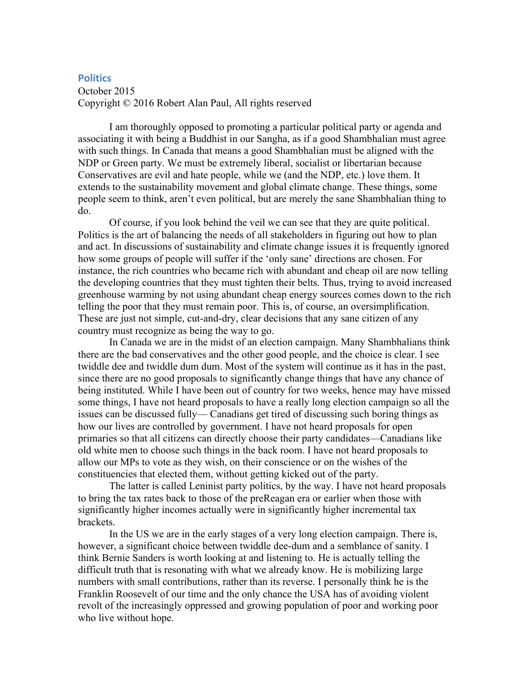## **Politics**

October 2015 Copyright © 2016 Robert Alan Paul, All rights reserved

I am thoroughly opposed to promoting a particular political party or agenda and associating it with being a Buddhist in our Sangha, as if a good Shambhalian must agree with such things. In Canada that means a good Shambhalian must be aligned with the NDP or Green party. We must be extremely liberal, socialist or libertarian because Conservatives are evil and hate people, while we (and the NDP, etc.) love them. It extends to the sustainability movement and global climate change. These things, some people seem to think, aren't even political, but are merely the sane Shambhalian thing to do.

Of course, if you look behind the veil we can see that they are quite political. Politics is the art of balancing the needs of all stakeholders in figuring out how to plan and act. In discussions of sustainability and climate change issues it is frequently ignored how some groups of people will suffer if the 'only sane' directions are chosen. For instance, the rich countries who became rich with abundant and cheap oil are now telling the developing countries that they must tighten their belts. Thus, trying to avoid increased greenhouse warming by not using abundant cheap energy sources comes down to the rich telling the poor that they must remain poor. This is, of course, an oversimplification. These are just not simple, cut-and-dry, clear decisions that any sane citizen of any country must recognize as being the way to go.

In Canada we are in the midst of an election campaign. Many Shambhalians think there are the bad conservatives and the other good people, and the choice is clear. I see twiddle dee and twiddle dum dum. Most of the system will continue as it has in the past, since there are no good proposals to significantly change things that have any chance of being instituted. While I have been out of country for two weeks, hence may have missed some things, I have not heard proposals to have a really long election campaign so all the issues can be discussed fully— Canadians get tired of discussing such boring things as how our lives are controlled by government. I have not heard proposals for open primaries so that all citizens can directly choose their party candidates—Canadians like old white men to choose such things in the back room. I have not heard proposals to allow our MPs to vote as they wish, on their conscience or on the wishes of the constituencies that elected them, without getting kicked out of the party.

The latter is called Leninist party politics, by the way. I have not heard proposals to bring the tax rates back to those of the preReagan era or earlier when those with significantly higher incomes actually were in significantly higher incremental tax brackets.

In the US we are in the early stages of a very long election campaign. There is, however, a significant choice between twiddle dee-dum and a semblance of sanity. I think Bernie Sanders is worth looking at and listening to. He is actually telling the difficult truth that is resonating with what we already know. He is mobilizing large numbers with small contributions, rather than its reverse. I personally think he is the Franklin Roosevelt of our time and the only chance the USA has of avoiding violent revolt of the increasingly oppressed and growing population of poor and working poor who live without hope.